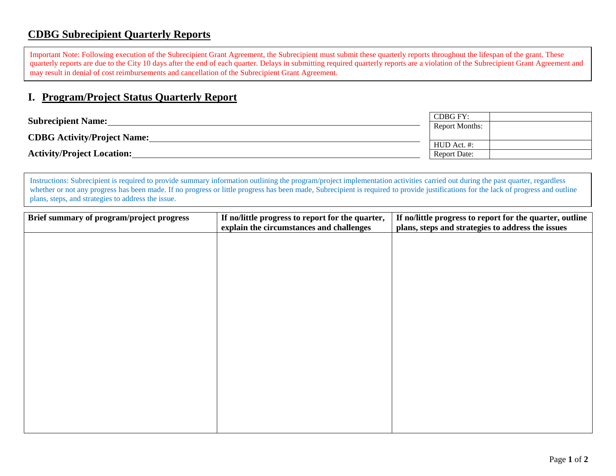## **CDBG Subrecipient Quarterly Reports**

Important Note: Following execution of the Subrecipient Grant Agreement, the Subrecipient must submit these quarterly reports throughout the lifespan of the grant. These quarterly reports are due to the City 10 days after the end of each quarter. Delays in submitting required quarterly reports are a violation of the Subrecipient Grant Agreement and may result in denial of cost reimbursements and cancellation of the Subrecipient Grant Agreement.

## **I. Program/Project Status Quarterly Report**

| <b>Subrecipient Name:</b>          |                     |  |
|------------------------------------|---------------------|--|
|                                    |                     |  |
| <b>CDBG</b> Activity/Project Name: |                     |  |
|                                    | HUD Act. #:         |  |
| <b>Activity/Project Location:</b>  | <b>Report Date:</b> |  |

IIISUUCHOIIS. SUDECIPIEN IS FEQUIFED to provide summary information outning the program/project implementation activities carried out during the past quarter, regardless<br>whether or not any progress has been made. If no pro plans, steps, and strategies to address the issue. Instructions: Subrecipient is required to provide summary information outlining the program/project implementation activities carried out during the past quarter, regardless

| Brief summary of program/project progress | If no/little progress to report for the quarter,<br>explain the circumstances and challenges | If no/little progress to report for the quarter, outline<br>plans, steps and strategies to address the issues |
|-------------------------------------------|----------------------------------------------------------------------------------------------|---------------------------------------------------------------------------------------------------------------|
|                                           |                                                                                              |                                                                                                               |
|                                           |                                                                                              |                                                                                                               |
|                                           |                                                                                              |                                                                                                               |
|                                           |                                                                                              |                                                                                                               |
|                                           |                                                                                              |                                                                                                               |
|                                           |                                                                                              |                                                                                                               |
|                                           |                                                                                              |                                                                                                               |
|                                           |                                                                                              |                                                                                                               |
|                                           |                                                                                              |                                                                                                               |
|                                           |                                                                                              |                                                                                                               |
|                                           |                                                                                              |                                                                                                               |